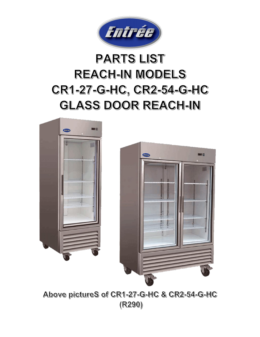

## **PARTS LIST REACH-IN MODELS** CR1-27-G-HC, CR2-54-G-HC **GLASS DOOR REACH-IN**





Above pictureS of CR1-27-G-HC & CR2-54-G-HC  $(R290)$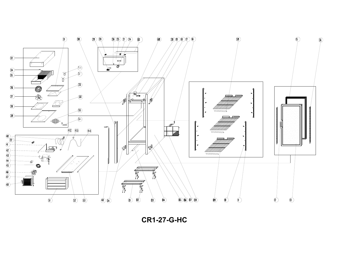

**CR1-27-G-HC**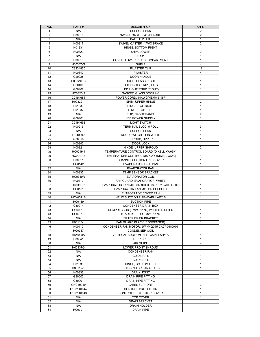| NO.            | PART#                | <b>DESCRIPTION</b>                                  | QTY.                         |
|----------------|----------------------|-----------------------------------------------------|------------------------------|
| $\mathbf{1}$   | N/A                  | <b>SUPPORT PAN</b>                                  | $\overline{2}$               |
| 2              | H00316               | SWIVEL CASTER 4" W/BRAKE                            | $\overline{2}$               |
| 3              | N/A                  | <b>BAFFLE PLATE</b>                                 | $\mathbf{1}$                 |
| $\overline{4}$ | H00317               | SWIVEL CASTER 4" W/O BRAKE                          | 2                            |
| 5              | H01331               | HINGE, BOTTOM RIGHT                                 | $\mathbf{1}$                 |
| 6              | H00329               | SHIM, LOWER                                         | 2                            |
| $\overline{7}$ | N/A                  | <b>BODY</b>                                         | $\mathbf{1}$                 |
| 8              | H00313               | COVER, LOWER REAR COMPARTMENT                       | $\mathbf{1}$                 |
| 9              | H00307-G             | <b>SHELF</b>                                        | $\overline{4}$               |
| 10             | C3234860             | PILASTER CLIP                                       | 12                           |
| 11             | H00342               | <b>PILASTER</b>                                     | 4                            |
| 12             | G20025               | DOOR HANDLE                                         | 1                            |
| 13             | H00324RG             | DOOR, GLASS RIGHT                                   | 1                            |
| 14             | G00400               | LED LIGHT STRIP (LEFT)                              | 1                            |
| 14             | G00402               | LED LIGHT STRIP (RIGHT)                             | $\mathbf{1}$                 |
| 15             | HC0325-2             | GASKET, GLASS DOOR HC                               | $\mathbf{1}$                 |
| 16             | C2194684             | POWER CORD, 14AWG/NEMA 5-15P                        | 1                            |
| 17             | H00329-1             | SHIM, UPPER HINGE                                   | $\overline{2}$               |
| 18             | H01330               | HINGE, TOP RIGHT                                    | $\mathbf{1}$                 |
| 18             | H01332               | HINGE, TOP LEFT                                     | 1                            |
| 19             | N/A                  | CLIP, FRONT PANEL                                   | 2                            |
| 20             | G00401               | LED POWER SUPPLY                                    | $\mathbf{1}$                 |
| 21             | C2194692             | <b>LIGHT SWITCH</b>                                 | $\mathbf{1}$                 |
| 22             | H00215               | <b>TERMINAL BLOC, 5 POLL</b>                        | 3                            |
| 23             | N/A                  | <b>SUPPORT PAN</b>                                  | 1                            |
| 24             | HC10000              | DOOR SWITCH 3 PIN WHITE                             | $\mathbf{1}$                 |
| 25             | G00318               | SHROUD, UPPER                                       | $\mathbf{1}$                 |
| 26             | H00340               | DOOR LOCK                                           | $\mathbf{1}$                 |
| 28             | H00321               | HINGE. UPPER SHROUD                                 | $\overline{2}$               |
| 29             | HC0219-1             | TEMPERATURE CONTROL BOARD (DIXELL XW03K)            | $\mathbf{1}$                 |
| 29             | HC0219-2             | TEMPERATURE CONTROL DISPLAY (DIXELL CX50)           | $\mathbf{1}$                 |
| 30             | H00311               | CHANNEL SUCTION LINE COVER                          | $\mathbf{1}$                 |
| 31<br>32       | <b>HC0142</b><br>N/A | <b>EVAPORATOR DRIP PAN</b><br><b>EVAPORATOR PAN</b> | $\mathbf{1}$<br>$\mathbf{1}$ |
| 34             | H00335               | TEMP SENSOR BRACKET                                 | $\mathbf{1}$                 |
| 35             | <b>HC0349R</b>       | <b>EVAPORATOR COIL</b>                              | $\mathbf{1}$                 |
| 36             | H00112               | FAN GUARD, EVAPORATOR, WHITE                        | $\mathbf{1}$                 |
| 37             | HC0116-2             | EVAPORATOR FAN MOTOR (IQC3608-010315/A03 L-600)     | $\mathbf{1}$                 |
| 38             | HC0131               | EVAPORATOR FAN MOTOR SUPPORT                        | 1                            |
| 39             | N/A                  | EVAPORATOR COVER PAN                                | 1                            |
| 40             | <b>HDV0011B</b>      | <b>HELIX SUCTION PIPE+CAPILLARY B</b>               | 1                            |
| 41             | HC0149               | <b>SUCTION PIPE</b>                                 | $\mathbf{1}$                 |
| 42             | C30014               | CONDENSER DRAIN BOX                                 | $\mathbf{1}$                 |
| 43             | <b>HC0001F</b>       | COMPRESSOR (EM2X3117U) W/ FILTER DRIER              | 1                            |
| 43             | <b>HC0001K</b>       | START KIT FOR EM2X3117U                             | $\star$                      |
| 44             | N/A                  | FILTER DRIER BRACKET                                | $\mathbf{1}$                 |
| 45             | H00113-1             | FAN GUARD BLACK (CONDENSER)                         | $\mathbf{1}$                 |
| 46             | H00110               | CONDENSER FAN MOTOR, 9W M4Q045-CA27-04/CA01         | 1                            |
| 47             | HC0347               | <b>CONDENSER COIL</b>                               | $\mathbf{1}$                 |
| 48             | HDV008A              | <b>VERTICAL SUCTION PIPE+CAPILLARY A</b>            | 1                            |
| 49             | H00341               | <b>FILTER DRIER</b>                                 | $\mathbf{1}$                 |
| 50             | N/A                  | AIR GUIDE                                           | 4                            |
| 51             | H00337G              | <b>LOWER FRONT SHROUD</b>                           | $\mathbf{1}$                 |
| 52             | N/A                  | <b>CONDENSER PAN</b>                                | 1                            |
| 53             | N/A                  | <b>GUIDE RAIL</b>                                   | $\mathbf{1}$                 |
| 53             | N/A                  | <b>GUIDE RAIL</b>                                   | 1                            |
| 54             | H01333               | HINGE, BOTTOM LEFT                                  | $\mathbf{1}$                 |
| 55<br>56       | H00112-1<br>H00336   | <b>EVAPORATOR FAN GUARD</b><br>DRAIN JOINT          | 1<br>$\mathbf{1}$            |
| 57             | G30002               | DRAIN PIPE FITTING                                  | $\mathbf{1}$                 |
| 58             | G30001               | DRAIN PIPE FITTING                                  | $\mathbf{1}$                 |
| 59             | GHC40019             | <b>LABEL SUPPORT</b>                                | 3                            |
| 60             | H108140044           | CONTROL PROTECTOR                                   | 1                            |
| 60             | H108140043           | CONTROL PROTECTOR COVER                             | 1                            |
| 61             | N/A                  | TOP COVER                                           | $\mathbf{1}$                 |
| 62             | N/A                  | <b>DRAIN BRACKET</b>                                | 1                            |
| 63             | N/A                  | DRAIN HOLDER                                        | 1                            |
| 64             | HC0391               | <b>DRAIN PIPE</b>                                   | $\mathbf{1}$                 |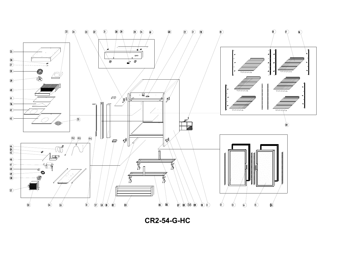

**CR2-54-G-HC**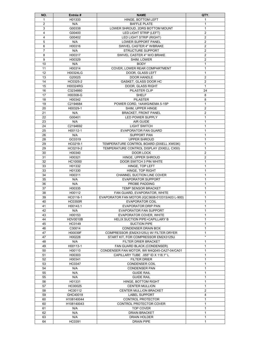| NO.                 | Entrée #           | <b>NAME</b>                                            | QTY.                             |
|---------------------|--------------------|--------------------------------------------------------|----------------------------------|
| 1                   | H01333             | HINGE, BOTTOM LEFT                                     | 1                                |
| $\overline{2}$      | N/A                | <b>BAFFLE PLATE</b>                                    | $\mathbf{1}$                     |
| 3                   | G00338             | LOWER SHROUD, 2DRS BOTTOM MOUNT                        | 1                                |
| $\overline{4}$      | G00400             | LED LIGHT STRIP (LEFT)                                 | $\overline{2}$                   |
| 4                   | G00402             | LED LIGHT STRIP (RIGHT)                                | $\overline{2}$                   |
| 5                   | N/A                | LOWER SUPPORT PANEL                                    | $\overline{2}$                   |
| 6<br>$\overline{7}$ | H00316<br>N/A      | SWIVEL CASTER 4" W/BRAKE<br><b>STRUCTURE SUPPORT</b>   | $\overline{c}$<br>$\overline{2}$ |
| 8                   | H00317             | SWIVEL CASTER 4" W/O BRAKE                             | $\overline{2}$                   |
| 9                   | H00329             | SHIM, LOWER                                            | $\overline{2}$                   |
| 10                  | N/A                | <b>BODY</b>                                            | $\mathbf{1}$                     |
| 11                  | H00314             | COVER, LOWER REAR COMPARTMENT                          | 1                                |
| 12                  | H00324LG           | DOOR, GLASS LEFT                                       | $\mathbf{1}$                     |
| 13                  | G20025             | DOOR HANDLE                                            | $\overline{2}$                   |
| 14                  | HC0325-2           | GASKET, GLASS DOOR HC                                  | $\overline{2}$                   |
| 15                  | H00324RG           | DOOR, GLASS RIGHT                                      | $\mathbf{1}$                     |
| 16                  | C3234860           | PILASTER CLIP                                          | 24                               |
| 17                  | H00308-G           | <b>SHELF</b>                                           | 8                                |
| 18                  | H00342             | <b>PILASTER</b>                                        | 8                                |
| 19                  | C2194684           | POWER CORD. 14AWG/NEMA 5-15P                           | $\mathbf{1}$                     |
| 20                  | H00329-1           | SHIM, UPPER HINGE                                      | 2                                |
| 21                  | N/A                | <b>BRACKET, FRONT PANEL</b>                            | $\overline{c}$                   |
| 22                  | G00401             | LED POWER SUPPLY                                       | $\mathbf{1}$                     |
| 23                  | N/A                | AIR GUIDE                                              | $\mathbf{1}$                     |
| 24                  | C2194692           | <b>LIGHT SWITCH</b>                                    | $\mathbf{1}$                     |
| 25                  | H00112-1           | <b>EVAPORATOR FAN GUARD</b>                            | 1                                |
| 26<br>28            | N/A<br>GC0319      | <b>SUPPORT PAN</b><br><b>UPPER SHROUD</b>              | $\mathbf{1}$<br>$\mathbf{1}$     |
| 29                  | HC0219-1           | TEMPERATURE CONTROL BOARD (DIXELL XW03K)               | $\mathbf{1}$                     |
| 29                  | HC0219-2           | TEMPERATURE CONTROL DISPLAY (DIXELL CX50)              | $\mathbf{1}$                     |
| 30                  | H00340             | DOOR LOCK                                              | $\overline{2}$                   |
| 31                  | H00321             | HINGE, UPPER SHROUD                                    | $\overline{2}$                   |
| 32                  | HC10000            | DOOR SWITCH 3 PIN WHITE                                | $\mathbf{1}$                     |
| 33                  | H01332             | HINGE, TOP LEFT                                        | 1                                |
| 33                  | H01330             | HINGE, TOP RIGHT                                       | 1                                |
| 34                  | H00311             | CHANNEL SUCTION LINE COVER                             | $\mathbf{1}$                     |
| 35                  | N/A                | <b>EVAPORATOR SUPPORT</b>                              | 1                                |
| 36                  | N/A                | PROBE PADDING                                          | 1                                |
| 37                  | H00335             | <b>TEMP SENSOR BRACKET</b>                             | $\mathbf{1}$                     |
| 38                  | H00112             | FAN GUARD, EVAPORATOR, WHITE                           | $\mathbf{1}$                     |
| 39                  | HC0116-1           | EVAPORATOR FAN MOTOR (IQC3608-010315/A03 L-900)        | $\mathbf{1}$                     |
| 40                  | <b>HC0350R</b>     | <b>EVAPORATOR COIL</b>                                 | $\mathbf{1}$                     |
| 41                  | H00143.1           | EVAPORATOR DRIP PAN<br><b>EVAPORATOR FAN SUPPORT</b>   | $\mathbf{1}$<br>$\mathbf{1}$     |
| 42<br>43            | N/A<br>H00153      | EVAPORATOR COVER, WHITE                                | $\mathbf{1}$                     |
| 44                  | <b>HDV0010B</b>    | HELIX SUCTION PIPE+CAPILLARY B                         | $\mathbf{1}$                     |
| 45                  | HC0149             | <b>SUCTION PIPE</b>                                    | $\mathbf{1}$                     |
| 46                  | C30014             | <b>CONDENSER DRAIN BOX</b>                             | 1                                |
| 47                  | H00039F            | COMPRESSOR (EM2X3125U) W/ FILTER DRYER                 | 1                                |
| 47                  | H00228             | START KIT, FOR COMPRESSOR EM2X3125U                    | $\star$                          |
| 48                  | N/A                | FILTER DRIER BRACKET                                   | 1                                |
| 49                  | H00113-1           | FAN GUARD BLACK (CONDENSER)                            | $\mathbf{1}$                     |
| 50                  | H00110             | CONDENSER FAN MOTOR, 9W M4Q045-CA27-04/CA01            | 1                                |
| 51                  | H00303             | CAPILLARY TUBE .055" ID X 118.1" L                     | $\mathbf{1}$                     |
| 52                  | H00341             | <b>FILTER DRIER</b>                                    | $\mathbf{1}$                     |
| 53                  | <b>HC0347</b>      | <b>CONDENSER COIL</b>                                  | $\mathbf{1}$                     |
| 54                  | N/A                | <b>CONDENSER PAN</b>                                   | $\mathbf{1}$                     |
| 55                  | N/A                | <b>GUIDE RAIL</b>                                      | $\mathbf{1}$                     |
| 55                  | N/A                | <b>GUIDE RAIL</b>                                      | 1                                |
| 56                  | H01331             | HINGE, BOTTOM RIGHT                                    | $\mathbf{1}$                     |
| 57<br>58            | HC00025<br>HC00112 | <b>CENTER MULLION</b><br><b>CENTER MULLION BRACKET</b> | 1<br>$\overline{2}$              |
| 59                  | GHC40018           | <b>LABEL SUPPORT</b>                                   | $\overline{4}$                   |
| 60                  | H108140044         | CONTROL PROTECTOR                                      | $\mathbf{1}$                     |
| 60                  | H108140043         | CONTROL PROTECTOR COVER                                | 1                                |
| 61                  | N/A                | TOP COVER                                              | $\mathbf{1}$                     |
| 62                  | N/A                | <b>DRAIN BRACKET</b>                                   | $\mathbf{1}$                     |
| 63                  | N/A                | DRAIN HOLDER                                           | $\mathbf{1}$                     |
| 64                  | HC0391             | <b>DRAIN PIPE</b>                                      | $\mathbf{1}$                     |